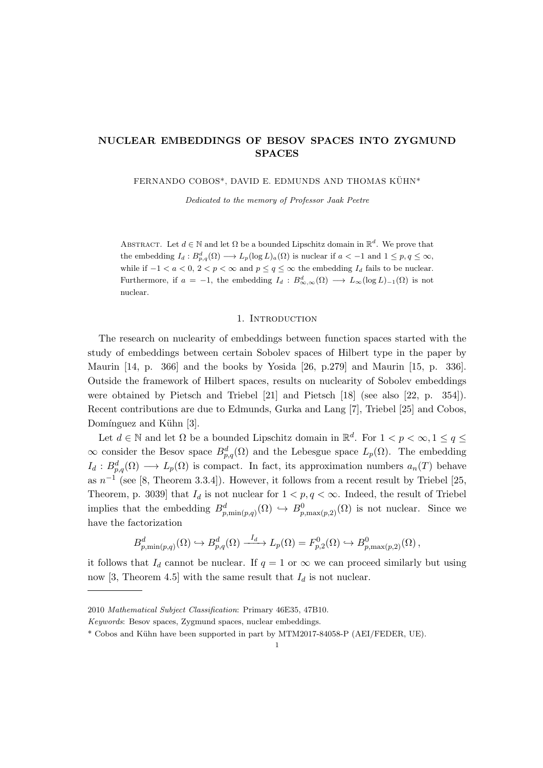# NUCLEAR EMBEDDINGS OF BESOV SPACES INTO ZYGMUND SPACES

FERNANDO COBOS\*, DAVID E. EDMUNDS AND THOMAS KÜHN\*

Dedicated to the memory of Professor Jaak Peetre

ABSTRACT. Let  $d \in \mathbb{N}$  and let  $\Omega$  be a bounded Lipschitz domain in  $\mathbb{R}^d$ . We prove that the embedding  $I_d: B^d_{p,q}(\Omega) \longrightarrow L_p(\log L)_a(\Omega)$  is nuclear if  $a < -1$  and  $1 \leq p, q \leq \infty$ , while if  $-1 < a < 0$ ,  $2 < p < \infty$  and  $p < q < \infty$  the embedding  $I_d$  fails to be nuclear. Furthermore, if  $a = -1$ , the embedding  $I_d : B^d_{\infty,\infty}(\Omega) \longrightarrow L_\infty(\log L)_{-1}(\Omega)$  is not nuclear.

### 1. INTRODUCTION

The research on nuclearity of embeddings between function spaces started with the study of embeddings between certain Sobolev spaces of Hilbert type in the paper by Maurin [14, p. 366] and the books by Yosida [26, p.279] and Maurin [15, p. 336]. Outside the framework of Hilbert spaces, results on nuclearity of Sobolev embeddings were obtained by Pietsch and Triebel [21] and Pietsch [18] (see also [22, p. 354]). Recent contributions are due to Edmunds, Gurka and Lang [7], Triebel [25] and Cobos, Domínguez and Kühn [3].

Let  $d \in \mathbb{N}$  and let  $\Omega$  be a bounded Lipschitz domain in  $\mathbb{R}^d$ . For  $1 < p < \infty, 1 \le q \le$  $\infty$  consider the Besov space  $B_{p,q}^d(\Omega)$  and the Lebesgue space  $L_p(\Omega)$ . The embedding  $I_d: B^d_{p,q}(\Omega) \longrightarrow L_p(\Omega)$  is compact. In fact, its approximation numbers  $a_n(T)$  behave as  $n^{-1}$  (see [8, Theorem 3.3.4]). However, it follows from a recent result by Triebel [25, Theorem, p. 3039] that  $I_d$  is not nuclear for  $1 < p, q < \infty$ . Indeed, the result of Triebel implies that the embedding  $B_{p,\min(p,q)}^d(\Omega) \hookrightarrow B_{p,\max(p,2)}^0(\Omega)$  is not nuclear. Since we have the factorization

$$
B_{p,\min(p,q)}^d(\Omega) \hookrightarrow B_{p,q}^d(\Omega) \xrightarrow{I_d} L_p(\Omega) = F_{p,2}^0(\Omega) \hookrightarrow B_{p,\max(p,2)}^0(\Omega),
$$

it follows that  $I_d$  cannot be nuclear. If  $q = 1$  or  $\infty$  we can proceed similarly but using now [3, Theorem 4.5] with the same result that  $I_d$  is not nuclear.

<sup>2010</sup> Mathematical Subject Classification: Primary 46E35, 47B10.

Keywords: Besov spaces, Zygmund spaces, nuclear embeddings.

<sup>\*</sup> Cobos and K¨uhn have been supported in part by MTM2017-84058-P (AEI/FEDER, UE).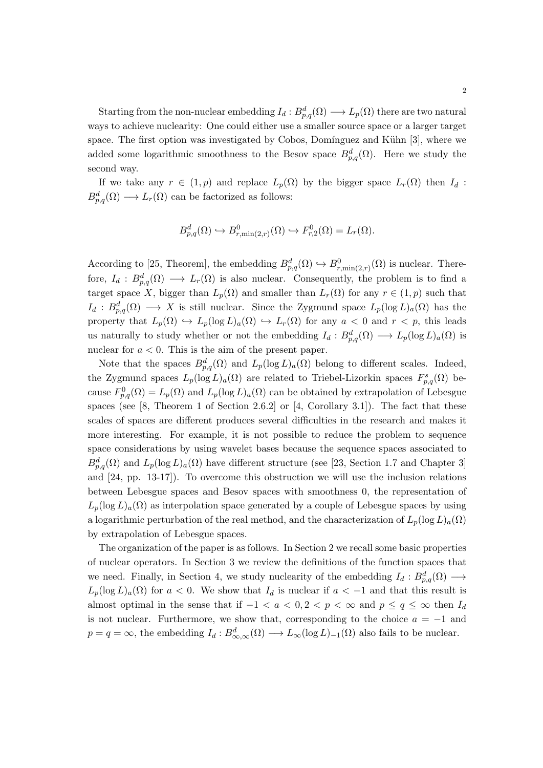Starting from the non-nuclear embedding  $I_d : B^d_{p,q}(\Omega) \longrightarrow L_p(\Omega)$  there are two natural ways to achieve nuclearity: One could either use a smaller source space or a larger target space. The first option was investigated by Cobos, Domínguez and Kühn [3], where we added some logarithmic smoothness to the Besov space  $B_{p,q}^d(\Omega)$ . Here we study the second way.

If we take any  $r \in (1, p)$  and replace  $L_p(\Omega)$  by the bigger space  $L_r(\Omega)$  then  $I_d$ :  $B_{p,q}^d(\Omega) \longrightarrow L_r(\Omega)$  can be factorized as follows:

$$
B_{p,q}^d(\Omega) \hookrightarrow B_{r,\min(2,r)}^0(\Omega) \hookrightarrow F_{r,2}^0(\Omega) = L_r(\Omega).
$$

According to [25, Theorem], the embedding  $B_{p,q}^d(\Omega) \hookrightarrow B_{r,\min(2,r)}^0(\Omega)$  is nuclear. Therefore,  $I_d: B^d_{p,q}(\Omega) \longrightarrow L_r(\Omega)$  is also nuclear. Consequently, the problem is to find a target space X, bigger than  $L_p(\Omega)$  and smaller than  $L_r(\Omega)$  for any  $r \in (1, p)$  such that  $I_d: B^d_{p,q}(\Omega) \longrightarrow X$  is still nuclear. Since the Zygmund space  $L_p(\log L)_a(\Omega)$  has the property that  $L_p(\Omega) \hookrightarrow L_p(\log L)_a(\Omega) \hookrightarrow L_r(\Omega)$  for any  $a < 0$  and  $r < p$ , this leads us naturally to study whether or not the embedding  $I_d : B^d_{p,q}(\Omega) \longrightarrow L_p(\log L)_a(\Omega)$  is nuclear for  $a < 0$ . This is the aim of the present paper.

Note that the spaces  $B_{p,q}^d(\Omega)$  and  $L_p(\log L)_a(\Omega)$  belong to different scales. Indeed, the Zygmund spaces  $L_p(\log L)_a(\Omega)$  are related to Triebel-Lizorkin spaces  $F^s_{p,q}(\Omega)$  because  $F_{p,q}^0(\Omega) = L_p(\Omega)$  and  $L_p(\log L)_a(\Omega)$  can be obtained by extrapolation of Lebesgue spaces (see [8, Theorem 1 of Section 2.6.2] or [4, Corollary 3.1]). The fact that these scales of spaces are different produces several difficulties in the research and makes it more interesting. For example, it is not possible to reduce the problem to sequence space considerations by using wavelet bases because the sequence spaces associated to  $B_{p,q}^d(\Omega)$  and  $L_p(\log L)_a(\Omega)$  have different structure (see [23, Section 1.7 and Chapter 3] and [24, pp. 13-17]). To overcome this obstruction we will use the inclusion relations between Lebesgue spaces and Besov spaces with smoothness 0, the representation of  $L_p(\log L)_a(\Omega)$  as interpolation space generated by a couple of Lebesgue spaces by using a logarithmic perturbation of the real method, and the characterization of  $L_p(\log L)_a(\Omega)$ by extrapolation of Lebesgue spaces.

The organization of the paper is as follows. In Section 2 we recall some basic properties of nuclear operators. In Section 3 we review the definitions of the function spaces that we need. Finally, in Section 4, we study nuclearity of the embedding  $I_d : B^d_{p,q}(\Omega) \longrightarrow$  $L_p(\log L)_a(\Omega)$  for  $a < 0$ . We show that  $I_d$  is nuclear if  $a < -1$  and that this result is almost optimal in the sense that if  $-1 < a < 0, 2 < p < \infty$  and  $p \le q \le \infty$  then  $I_d$ is not nuclear. Furthermore, we show that, corresponding to the choice  $a = -1$  and  $p = q = \infty$ , the embedding  $I_d : B^d_{\infty,\infty}(\Omega) \longrightarrow L_\infty(\log L)_{-1}(\Omega)$  also fails to be nuclear.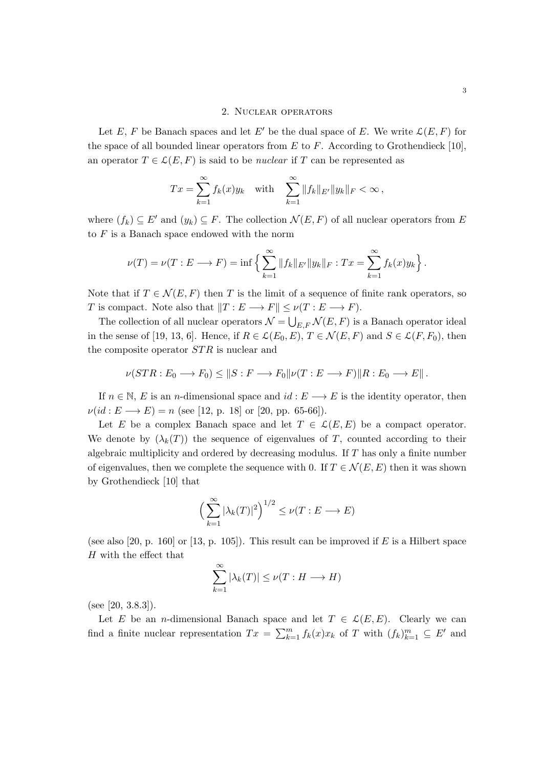### 2. Nuclear operators

Let E, F be Banach spaces and let E' be the dual space of E. We write  $\mathcal{L}(E, F)$  for the space of all bounded linear operators from  $E$  to  $F$ . According to Grothendieck [10], an operator  $T \in \mathcal{L}(E, F)$  is said to be *nuclear* if T can be represented as

$$
Tx = \sum_{k=1}^{\infty} f_k(x) y_k \quad \text{with} \quad \sum_{k=1}^{\infty} \|f_k\|_{E'} \|y_k\|_F < \infty \,,
$$

where  $(f_k) \subseteq E'$  and  $(y_k) \subseteq F$ . The collection  $\mathcal{N}(E, F)$  of all nuclear operators from E to  $F$  is a Banach space endowed with the norm

$$
\nu(T) = \nu(T : E \longrightarrow F) = \inf \left\{ \sum_{k=1}^{\infty} ||f_k||_{E'} ||y_k||_F : Tx = \sum_{k=1}^{\infty} f_k(x)y_k \right\}.
$$

Note that if  $T \in \mathcal{N}(E, F)$  then T is the limit of a sequence of finite rank operators, so T is compact. Note also that  $||T : E \longrightarrow F|| \leq \nu(T : E \longrightarrow F)$ .

The collection of all nuclear operators  $\mathcal{N} = \bigcup_{E,F} \mathcal{N}(E,F)$  is a Banach operator ideal in the sense of [19, 13, 6]. Hence, if  $R \in \mathcal{L}(E_0, E)$ ,  $T \in \mathcal{N}(E, F)$  and  $S \in \mathcal{L}(F, F_0)$ , then the composite operator  $STR$  is nuclear and

$$
\nu(STR: E_0 \longrightarrow F_0) \leq ||S: F \longrightarrow F_0||\nu(T: E \longrightarrow F)||R: E_0 \longrightarrow E||.
$$

If  $n \in \mathbb{N}$ , E is an n-dimensional space and  $id : E \longrightarrow E$  is the identity operator, then  $\nu(id : E \longrightarrow E) = n$  (see [12, p. 18] or [20, pp. 65-66]).

Let E be a complex Banach space and let  $T \in \mathcal{L}(E, E)$  be a compact operator. We denote by  $(\lambda_k(T))$  the sequence of eigenvalues of T, counted according to their algebraic multiplicity and ordered by decreasing modulus. If  $T$  has only a finite number of eigenvalues, then we complete the sequence with 0. If  $T \in \mathcal{N}(E, E)$  then it was shown by Grothendieck [10] that

$$
\left(\sum_{k=1}^{\infty} |\lambda_k(T)|^2\right)^{1/2} \leq \nu(T: E \longrightarrow E)
$$

(see also [20, p. 160] or [13, p. 105]). This result can be improved if E is a Hilbert space H with the effect that

$$
\sum_{k=1}^{\infty} |\lambda_k(T)| \le \nu(T : H \longrightarrow H)
$$

(see [20, 3.8.3]).

Let E be an n-dimensional Banach space and let  $T \in \mathcal{L}(E, E)$ . Clearly we can find a finite nuclear representation  $Tx = \sum_{k=1}^{m} f_k(x)x_k$  of T with  $(f_k)_{k=1}^{m} \subseteq E'$  and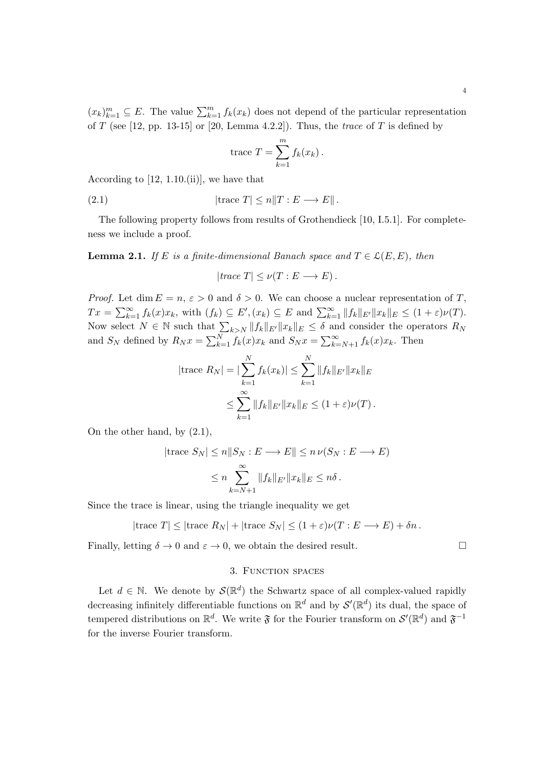$(x_k)_{k=1}^m \subseteq E$ . The value  $\sum_{k=1}^m f_k(x_k)$  does not depend of the particular representation of T (see [12, pp. 13-15] or [20, Lemma 4.2.2]). Thus, the *trace* of T is defined by

trace 
$$
T = \sum_{k=1}^{m} f_k(x_k)
$$
.

According to [12, 1.10.(ii)], we have that

(2.1) 
$$
|\text{trace } T| \le n \|T : E \longrightarrow E\|.
$$

The following property follows from results of Grothendieck [10, I.5.1]. For completeness we include a proof.

**Lemma 2.1.** If E is a finite-dimensional Banach space and  $T \in \mathcal{L}(E, E)$ , then

$$
|trace T| \leq \nu(T : E \longrightarrow E).
$$

*Proof.* Let dim  $E = n$ ,  $\varepsilon > 0$  and  $\delta > 0$ . We can choose a nuclear representation of T,  $Tx = \sum_{k=1}^{\infty} f_k(x)x_k$ , with  $(f_k) \subseteq E', (x_k) \subseteq E$  and  $\sum_{k=1}^{\infty} ||f_k||_{E'} ||x_k||_E \leq (1+\varepsilon)\nu(T)$ . Now select  $N \in \mathbb{N}$  such that  $\sum_{k>N} ||f_k||_{E'} ||x_k||_E \leq \delta$  and consider the operators  $R_N$ and  $S_N$  defined by  $R_N x = \sum_{k=1}^N f_k(x) x_k$  and  $S_N x = \sum_{k=N+1}^{\infty} f_k(x) x_k$ . Then

$$
|\text{trace } R_N| = |\sum_{k=1}^N f_k(x_k)| \le \sum_{k=1}^N \|f_k\|_{E'} \|x_k\|_E
$$
  

$$
\le \sum_{k=1}^\infty \|f_k\|_{E'} \|x_k\|_E \le (1+\varepsilon)\nu(T).
$$

On the other hand, by (2.1),

$$
|\text{trace } S_N| \le n \|S_N : E \longrightarrow E\| \le n \nu(S_N : E \longrightarrow E)
$$
  

$$
\le n \sum_{k=N+1}^{\infty} \|f_k\|_{E'} \|x_k\|_E \le n\delta.
$$

Since the trace is linear, using the triangle inequality we get

$$
|\text{trace } T| \leq |\text{trace } R_N| + |\text{trace } S_N| \leq (1+\varepsilon)\nu(T: E \longrightarrow E) + \delta n.
$$

Finally, letting  $\delta \to 0$  and  $\varepsilon \to 0$ , we obtain the desired result.

## 3. Function spaces

Let  $d \in \mathbb{N}$ . We denote by  $\mathcal{S}(\mathbb{R}^d)$  the Schwartz space of all complex-valued rapidly decreasing infinitely differentiable functions on  $\mathbb{R}^d$  and by  $\mathcal{S}'(\mathbb{R}^d)$  its dual, the space of tempered distributions on  $\mathbb{R}^d$ . We write  $\mathfrak F$  for the Fourier transform on  $\mathcal S'(\mathbb{R}^d)$  and  $\mathfrak F^{-1}$ for the inverse Fourier transform.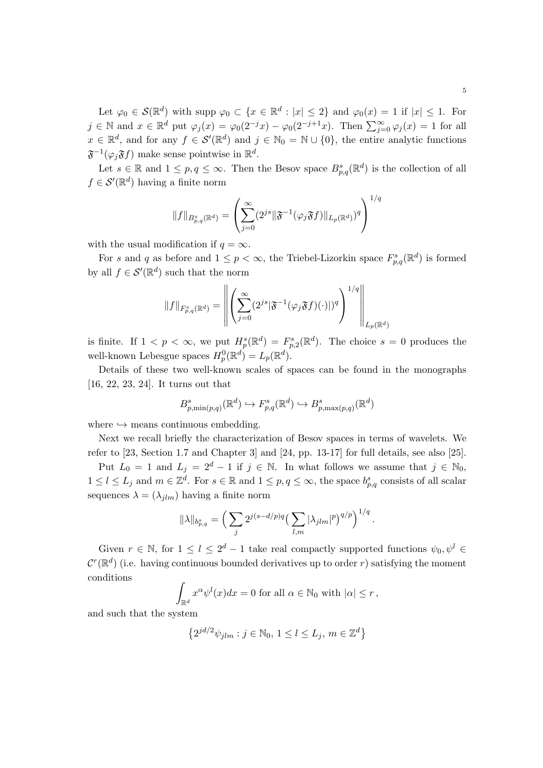Let  $\varphi_0 \in \mathcal{S}(\mathbb{R}^d)$  with supp  $\varphi_0 \subset \{x \in \mathbb{R}^d : |x| \leq 2\}$  and  $\varphi_0(x) = 1$  if  $|x| \leq 1$ . For  $j \in \mathbb{N}$  and  $x \in \mathbb{R}^d$  put  $\varphi_j(x) = \varphi_0(2^{-j}x) - \varphi_0(2^{-j+1}x)$ . Then  $\sum_{j=0}^{\infty} \varphi_j(x) = 1$  for all  $x \in \mathbb{R}^d$ , and for any  $f \in \mathcal{S}'(\mathbb{R}^d)$  and  $j \in \mathbb{N}_0 = \mathbb{N} \cup \{0\}$ , the entire analytic functions  $\mathfrak{F}^{-1}(\varphi_j \mathfrak{F} f)$  make sense pointwise in  $\mathbb{R}^d$ .

Let  $s \in \mathbb{R}$  and  $1 \leq p, q \leq \infty$ . Then the Besov space  $B^{s}_{p,q}(\mathbb{R}^d)$  is the collection of all  $f \in \mathcal{S}'(\mathbb{R}^d)$  having a finite norm

$$
||f||_{B^s_{p,q}(\mathbb{R}^d)} = \left(\sum_{j=0}^{\infty} (2^{js} ||\mathfrak{F}^{-1}(\varphi_j \mathfrak{F}f)||_{L_p(\mathbb{R}^d)})^q\right)^{1/q}
$$

with the usual modification if  $q = \infty$ .

For s and q as before and  $1 \leq p < \infty$ , the Triebel-Lizorkin space  $F_{p,q}^s(\mathbb{R}^d)$  is formed by all  $f \in \mathcal{S}'(\mathbb{R}^d)$  such that the norm

$$
||f||_{F^s_{p,q}(\mathbb{R}^d)} = \left\| \left( \sum_{j=0}^{\infty} (2^{js} |\mathfrak{F}^{-1}(\varphi_j \mathfrak{F} f)(\cdot) |)^q \right)^{1/q} \right\|_{L_p(\mathbb{R}^d)}
$$

is finite. If  $1 < p < \infty$ , we put  $H_p^s(\mathbb{R}^d) = F_{p,2}^s(\mathbb{R}^d)$ . The choice  $s = 0$  produces the well-known Lebesgue spaces  $H_p^0(\mathbb{R}^d) = L_p(\mathbb{R}^d)$ .

Details of these two well-known scales of spaces can be found in the monographs [16, 22, 23, 24]. It turns out that

$$
B_{p,\min(p,q)}^s(\mathbb{R}^d)\hookrightarrow F_{p,q}^s(\mathbb{R}^d)\hookrightarrow B_{p,\max(p,q)}^s(\mathbb{R}^d)
$$

where  $\hookrightarrow$  means continuous embedding.

Next we recall briefly the characterization of Besov spaces in terms of wavelets. We refer to [23, Section 1.7 and Chapter 3] and [24, pp. 13-17] for full details, see also [25].

Put  $L_0 = 1$  and  $L_j = 2^d - 1$  if  $j \in \mathbb{N}$ . In what follows we assume that  $j \in \mathbb{N}_0$ ,  $1 \leq l \leq L_j$  and  $m \in \mathbb{Z}^d$ . For  $s \in \mathbb{R}$  and  $1 \leq p, q \leq \infty$ , the space  $b_{p,q}^s$  consists of all scalar sequences  $\lambda = (\lambda_{jlm})$  having a finite norm

$$
\|\lambda\|_{b^s_{p,q}} = \left(\sum_j 2^{j(s-d/p)q} \left(\sum_{l,m} |\lambda_{jlm}|^p\right)^{q/p}\right)^{1/q}.
$$

Given  $r \in \mathbb{N}$ , for  $1 \leq l \leq 2^d - 1$  take real compactly supported functions  $\psi_0, \psi^l \in$  $\mathcal{C}^r(\mathbb{R}^d)$  (i.e. having continuous bounded derivatives up to order r) satisfying the moment conditions

$$
\int_{\mathbb{R}^d} x^{\alpha} \psi^l(x) dx = 0 \text{ for all } \alpha \in \mathbb{N}_0 \text{ with } |\alpha| \le r,
$$

and such that the system

$$
\left\{2^{jd/2}\psi_{jlm}:j\in\mathbb{N}_0,\,1\leq l\leq L_j,\,m\in\mathbb{Z}^d\right\}
$$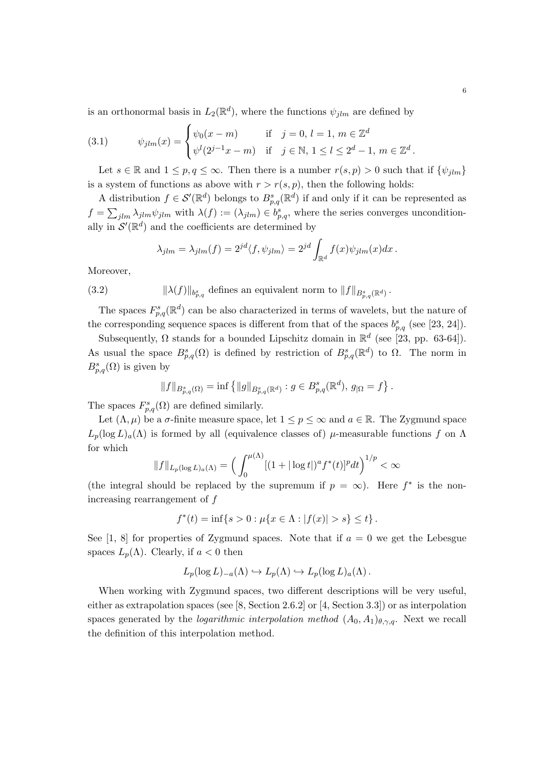is an orthonormal basis in  $L_2(\mathbb{R}^d)$ , where the functions  $\psi_{jlm}$  are defined by

(3.1) 
$$
\psi_{jlm}(x) = \begin{cases} \psi_0(x-m) & \text{if } j = 0, l = 1, m \in \mathbb{Z}^d \\ \psi^l(2^{j-1}x-m) & \text{if } j \in \mathbb{N}, 1 \le l \le 2^d - 1, m \in \mathbb{Z}^d. \end{cases}
$$

Let  $s \in \mathbb{R}$  and  $1 \leq p, q \leq \infty$ . Then there is a number  $r(s, p) > 0$  such that if  $\{\psi_{jlm}\}\$ is a system of functions as above with  $r > r(s, p)$ , then the following holds:

A distribution  $f \in \mathcal{S}'(\mathbb{R}^d)$  belongs to  $B^s_{p,q}(\mathbb{R}^d)$  if and only if it can be represented as  $f = \sum_{jlm} \lambda_{jlm} \psi_{jlm}$  with  $\lambda(f) := (\lambda_{jlm}) \in b_{p,q}^s$ , where the series converges unconditionally in  $\mathcal{S}'(\mathbb{R}^d)$  and the coefficients are determined by

$$
\lambda_{jlm} = \lambda_{jlm}(f) = 2^{jd} \langle f, \psi_{jlm} \rangle = 2^{jd} \int_{\mathbb{R}^d} f(x) \psi_{jlm}(x) dx.
$$

Moreover,

(3.2) 
$$
\|\lambda(f)\|_{b^s_{p,q}} \text{ defines an equivalent norm to } \|f\|_{B^s_{p,q}(\mathbb{R}^d)}.
$$

The spaces  $F_{p,q}^s(\mathbb{R}^d)$  can be also characterized in terms of wavelets, but the nature of the corresponding sequence spaces is different from that of the spaces  $b_{p,q}^s$  (see [23, 24]).

Subsequently,  $\Omega$  stands for a bounded Lipschitz domain in  $\mathbb{R}^d$  (see [23, pp. 63-64]). As usual the space  $B_{p,q}^s(\Omega)$  is defined by restriction of  $B_{p,q}^s(\mathbb{R}^d)$  to  $\Omega$ . The norm in  $B_{p,q}^s(\Omega)$  is given by

$$
||f||_{B_{p,q}^s(\Omega)} = \inf \{ ||g||_{B_{p,q}^s(\mathbb{R}^d)} : g \in B_{p,q}^s(\mathbb{R}^d), g_{|\Omega} = f \}.
$$

The spaces  $F_{p,q}^s(\Omega)$  are defined similarly.

Let  $(\Lambda, \mu)$  be a  $\sigma$ -finite measure space, let  $1 \leq p \leq \infty$  and  $a \in \mathbb{R}$ . The Zygmund space  $L_p(\log L)_a(\Lambda)$  is formed by all (equivalence classes of)  $\mu$ -measurable functions f on  $\Lambda$ for which

$$
||f||_{L_p(\log L)_a(\Lambda)} = \Big(\int_0^{\mu(\Lambda)} [(1+|\log t|)^a f^*(t)]^p dt\Big)^{1/p} < \infty
$$

(the integral should be replaced by the supremum if  $p = \infty$ ). Here  $f^*$  is the nonincreasing rearrangement of f

$$
f^*(t) = \inf\{s > 0 : \mu\{x \in \Lambda : |f(x)| > s\} \le t\}.
$$

See [1, 8] for properties of Zygmund spaces. Note that if  $a = 0$  we get the Lebesgue spaces  $L_p(\Lambda)$ . Clearly, if  $a < 0$  then

$$
L_p(\log L)_{-a}(\Lambda) \hookrightarrow L_p(\Lambda) \hookrightarrow L_p(\log L)_a(\Lambda).
$$

When working with Zygmund spaces, two different descriptions will be very useful, either as extrapolation spaces (see [8, Section 2.6.2] or [4, Section 3.3]) or as interpolation spaces generated by the *logarithmic interpolation method*  $(A_0, A_1)_{\theta, \gamma, q}$ . Next we recall the definition of this interpolation method.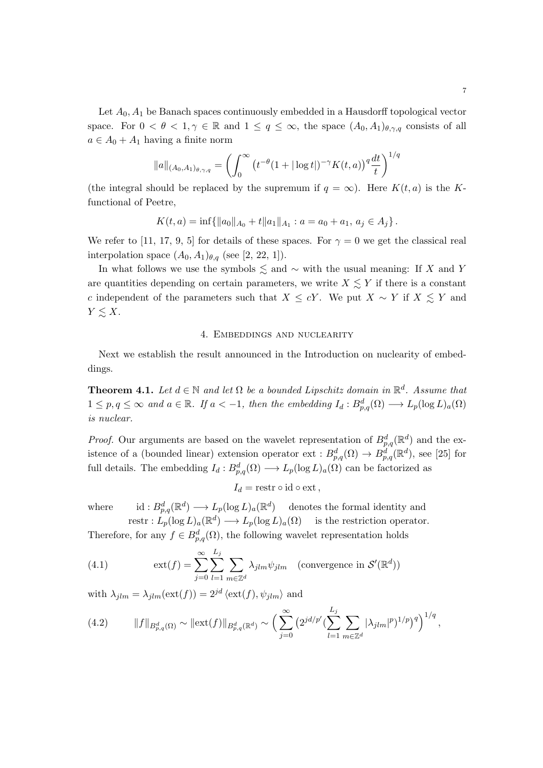Let  $A_0$ ,  $A_1$  be Banach spaces continuously embedded in a Hausdorff topological vector space. For  $0 < \theta < 1, \gamma \in \mathbb{R}$  and  $1 \le q \le \infty$ , the space  $(A_0, A_1)_{\theta, \gamma, q}$  consists of all  $a \in A_0 + A_1$  having a finite norm

$$
||a||_{(A_0, A_1)_{\theta, \gamma, q}} = \left(\int_0^\infty (t^{-\theta} (1 + |\log t|)^{-\gamma} K(t, a))^q \frac{dt}{t}\right)^{1/q}
$$

(the integral should be replaced by the supremum if  $q = \infty$ ). Here  $K(t, a)$  is the Kfunctional of Peetre,

$$
K(t,a) = \inf \{ ||a_0||_{A_0} + t||a_1||_{A_1} : a = a_0 + a_1, a_j \in A_j \}.
$$

We refer to [11, 17, 9, 5] for details of these spaces. For  $\gamma = 0$  we get the classical real interpolation space  $(A_0, A_1)_{\theta,q}$  (see [2, 22, 1]).

In what follows we use the symbols  $\leq$  and  $\sim$  with the usual meaning: If X and Y are quantities depending on certain parameters, we write  $X \lesssim Y$  if there is a constant c independent of the parameters such that  $X \leq cY$ . We put  $X \sim Y$  if  $X \leq Y$  and  $Y \lesssim X$ .

## 4. Embeddings and nuclearity

Next we establish the result announced in the Introduction on nuclearity of embeddings.

**Theorem 4.1.** Let  $d \in \mathbb{N}$  and let  $\Omega$  be a bounded Lipschitz domain in  $\mathbb{R}^d$ . Assume that  $1 \leq p, q \leq \infty$  and  $a \in \mathbb{R}$ . If  $a < -1$ , then the embedding  $I_d : B_{p,q}^d(\Omega) \longrightarrow L_p(\log L)_a(\Omega)$ is nuclear.

*Proof.* Our arguments are based on the wavelet representation of  $B_{p,q}^d(\mathbb{R}^d)$  and the existence of a (bounded linear) extension operator  $ext: B_{p,q}^d(\Omega) \to B_{p,q}^d(\mathbb{R}^d)$ , see [25] for full details. The embedding  $I_d: B^d_{p,q}(\Omega) \longrightarrow L_p(\log L)_a(\Omega)$  can be factorized as

$$
I_d = \text{restr} \circ \text{id} \circ \text{ext} \,,
$$

where id:  $B_{p,q}^d(\mathbb{R}^d) \longrightarrow L_p(\log L)_a(\mathbb{R}^d)$  denotes the formal identity and restr :  $L_p(\log L)_a(\mathbb{R}^d) \longrightarrow L_p(\log L)_a(\Omega)$  is the restriction operator.

Therefore, for any  $f \in B_{p,q}^d(\Omega)$ , the following wavelet representation holds

(4.1) 
$$
\operatorname{ext}(f) = \sum_{j=0}^{\infty} \sum_{l=1}^{L_j} \sum_{m \in \mathbb{Z}^d} \lambda_{jlm} \psi_{jlm} \quad \text{(convergence in } \mathcal{S}'(\mathbb{R}^d))
$$

with  $\lambda_{ilm} = \lambda_{ilm}(\text{ext}(f)) = 2^{jd} \langle \text{ext}(f), \psi_{ilm} \rangle$  and

(4.2) 
$$
||f||_{B_{p,q}^d(\Omega)} \sim ||\text{ext}(f)||_{B_{p,q}^d(\mathbb{R}^d)} \sim \Big(\sum_{j=0}^{\infty} \left(2^{jd/p'} \left(\sum_{l=1}^{L_j} \sum_{m \in \mathbb{Z}^d} |\lambda_{jlm}|^p\right)^{1/p}\right)^{1/q},
$$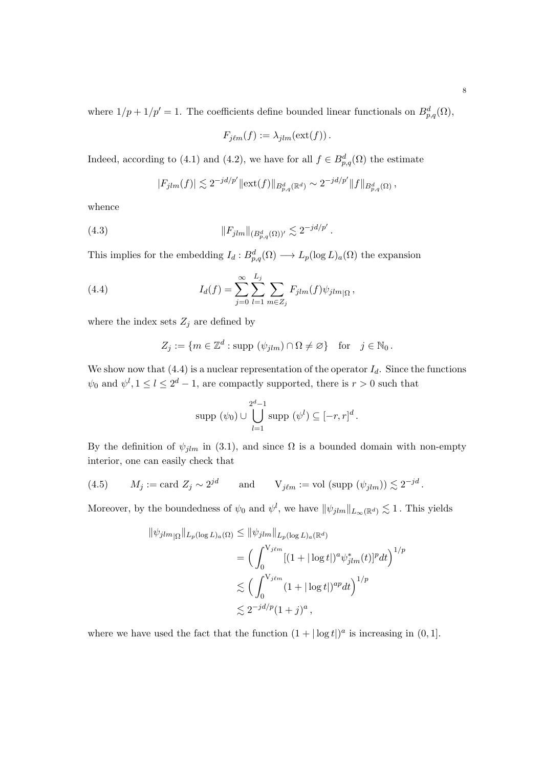where  $1/p + 1/p' = 1$ . The coefficients define bounded linear functionals on  $B_{p,q}^d(\Omega)$ ,

$$
F_{j\ell m}(f) := \lambda_{jlm}(\text{ext}(f)).
$$

Indeed, according to (4.1) and (4.2), we have for all  $f \in B_{p,q}^d(\Omega)$  the estimate

$$
|F_{jlm}(f)| \lesssim 2^{-jd/p'} \|\text{ext}(f)\|_{B^d_{p,q}(\mathbb{R}^d)} \sim 2^{-jd/p'} \|f\|_{B^d_{p,q}(\Omega)},
$$

whence

(4.3) 
$$
||F_{jlm}||_{(B_{p,q}^d(\Omega))'} \lesssim 2^{-jd/p'}.
$$

This implies for the embedding  $I_d : B^d_{p,q}(\Omega) \longrightarrow L_p(\log L)_a(\Omega)$  the expansion

(4.4) 
$$
I_d(f) = \sum_{j=0}^{\infty} \sum_{l=1}^{L_j} \sum_{m \in Z_j} F_{jlm}(f) \psi_{jlm}{}_{|\Omega},
$$

where the index sets  $Z_j$  are defined by

$$
Z_j := \{ m \in \mathbb{Z}^d : \text{supp } (\psi_{jlm}) \cap \Omega \neq \emptyset \} \quad \text{for} \quad j \in \mathbb{N}_0 \, .
$$

We show now that  $(4.4)$  is a nuclear representation of the operator  $I_d$ . Since the functions  $\psi_0$  and  $\psi^l, 1 \leq l \leq 2^d - 1$ , are compactly supported, there is  $r > 0$  such that

$$
\text{supp }(\psi_0)\cup\bigcup_{l=1}^{2^d-1}\text{supp }(\psi^l)\subseteq[-r,r]^d\,.
$$

By the definition of  $\psi_{jlm}$  in (3.1), and since  $\Omega$  is a bounded domain with non-empty interior, one can easily check that

(4.5) 
$$
M_j := \text{card } Z_j \sim 2^{jd} \quad \text{and} \quad V_{j\ell m} := \text{vol } (\text{supp } (\psi_{j\ell m})) \lesssim 2^{-jd}
$$

Moreover, by the boundedness of  $\psi_0$  and  $\psi^l$ , we have  $\|\psi_{jlm}\|_{L_\infty(\mathbb{R}^d)} \lesssim 1$ . This yields

$$
\|\psi_{jlm}{}_{|\Omega}\|_{L_p(\log L)_a(\Omega)} \le \|\psi_{jlm}\|_{L_p(\log L)_a(\mathbb{R}^d)}
$$
  
\n
$$
= \Big(\int_0^{V_{j\ell m}} [(1+|\log t|)^a \psi_{jlm}^*(t)]^p dt\Big)^{1/p}
$$
  
\n
$$
\lesssim \Big(\int_0^{V_{j\ell m}} (1+|\log t|)^{ap} dt\Big)^{1/p}
$$
  
\n
$$
\lesssim 2^{-jd/p} (1+j)^a,
$$

where we have used the fact that the function  $(1+|\log t|)^a$  is increasing in  $(0,1]$ .

.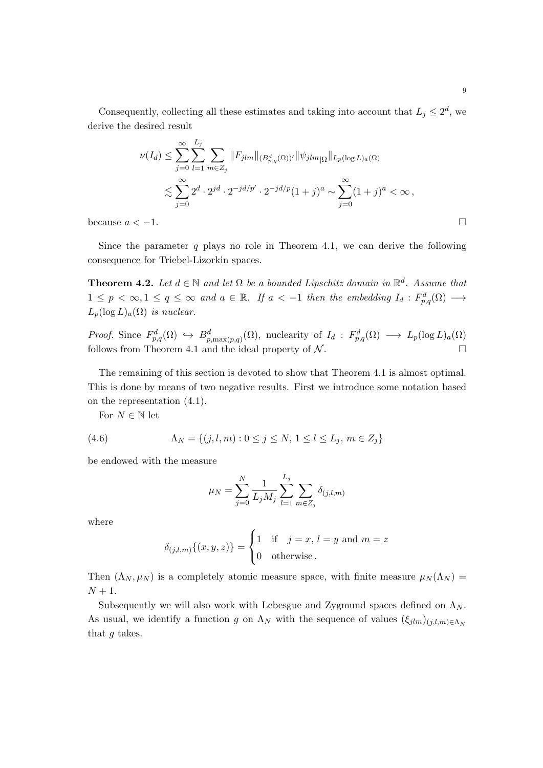Consequently, collecting all these estimates and taking into account that  $L_j \leq 2^d$ , we derive the desired result

$$
\nu(I_d) \leq \sum_{j=0}^{\infty} \sum_{l=1}^{L_j} \sum_{m \in Z_j} ||F_{jlm}||_{(B_{p,q}^d(\Omega))^{\prime}} ||\psi_{jlm}||_{L_p(\log L)_a(\Omega)}
$$
  

$$
\lesssim \sum_{j=0}^{\infty} 2^d \cdot 2^{jd} \cdot 2^{-jd/p'} \cdot 2^{-jd/p} (1+j)^a \sim \sum_{j=0}^{\infty} (1+j)^a < \infty,
$$

because  $a < -1$ .

Since the parameter q plays no role in Theorem 4.1, we can derive the following consequence for Triebel-Lizorkin spaces.

**Theorem 4.2.** Let  $d \in \mathbb{N}$  and let  $\Omega$  be a bounded Lipschitz domain in  $\mathbb{R}^d$ . Assume that  $1 \leq p < \infty, 1 \leq q \leq \infty$  and  $a \in \mathbb{R}$ . If  $a < -1$  then the embedding  $I_d : F^d_{p,q}(\Omega) \longrightarrow$  $L_p(\log L)_a(\Omega)$  is nuclear.

Proof. Since  $F_{p,q}^d(\Omega) \hookrightarrow B_{p,\max(p,q)}^d(\Omega)$ , nuclearity of  $I_d : F_{p,q}^d(\Omega) \longrightarrow L_p(\log L)_a(\Omega)$ follows from Theorem 4.1 and the ideal property of  $\mathcal N$ .

The remaining of this section is devoted to show that Theorem 4.1 is almost optimal. This is done by means of two negative results. First we introduce some notation based on the representation (4.1).

For  $N \in \mathbb{N}$  let

(4.6) 
$$
\Lambda_N = \{(j, l, m) : 0 \le j \le N, 1 \le l \le L_j, m \in Z_j\}
$$

be endowed with the measure

$$
\mu_N = \sum_{j=0}^N \frac{1}{L_j M_j} \sum_{l=1}^{L_j} \sum_{m \in Z_j} \delta_{(j,l,m)}
$$

where

$$
\delta_{(j,l,m)}\{(x,y,z)\} = \begin{cases} 1 & \text{if } j=x, l=y \text{ and } m=z\\ 0 & \text{otherwise.} \end{cases}
$$

Then  $(\Lambda_N, \mu_N)$  is a completely atomic measure space, with finite measure  $\mu_N(\Lambda_N)$  =  $N+1$ .

Subsequently we will also work with Lebesgue and Zygmund spaces defined on  $\Lambda_N$ . As usual, we identify a function g on  $\Lambda_N$  with the sequence of values  $(\xi_{jlm})_{(j,l,m)\in\Lambda_N}$ that g takes.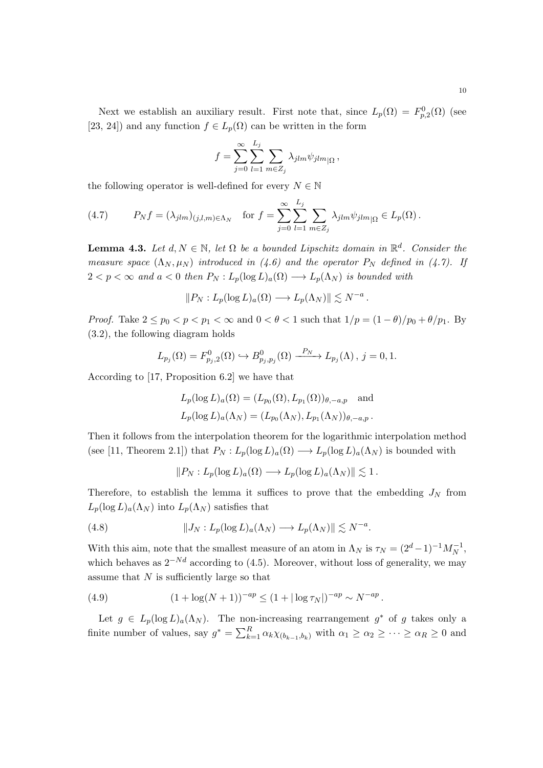Next we establish an auxiliary result. First note that, since  $L_p(\Omega) = F_{p,2}^0(\Omega)$  (see [23, 24]) and any function  $f \in L_p(\Omega)$  can be written in the form

$$
f = \sum_{j=0}^{\infty} \sum_{l=1}^{L_j} \sum_{m \in Z_j} \lambda_{jlm} \psi_{jlm} \Omega,
$$

the following operator is well-defined for every  $N \in \mathbb{N}$ 

(4.7) 
$$
P_N f = (\lambda_{jlm})_{(j,l,m)\in\Lambda_N} \quad \text{for } f = \sum_{j=0}^{\infty} \sum_{l=1}^{L_j} \sum_{m \in Z_j} \lambda_{jlm} \psi_{jlm}{}_{|\Omega} \in L_p(\Omega).
$$

**Lemma 4.3.** Let  $d, N \in \mathbb{N}$ , let  $\Omega$  be a bounded Lipschitz domain in  $\mathbb{R}^d$ . Consider the measure space  $(\Lambda_N, \mu_N)$  introduced in (4.6) and the operator  $P_N$  defined in (4.7). If  $2 < p < \infty$  and  $a < 0$  then  $P_N : L_p(\log L)_a(\Omega) \longrightarrow L_p(\Lambda_N)$  is bounded with

$$
||P_N: L_p(\log L)_a(\Omega) \longrightarrow L_p(\Lambda_N)|| \lesssim N^{-a}.
$$

Proof. Take  $2 \leq p_0 < p < p_1 < \infty$  and  $0 < \theta < 1$  such that  $1/p = (1 - \theta)/p_0 + \theta/p_1$ . By (3.2), the following diagram holds

$$
L_{p_j}(\Omega) = F_{p_j,2}^0(\Omega) \hookrightarrow B_{p_j,p_j}^0(\Omega) \xrightarrow{P_N} L_{p_j}(\Lambda), j = 0,1.
$$

According to [17, Proposition 6.2] we have that

$$
L_p(\log L)_a(\Omega) = (L_{p_0}(\Omega), L_{p_1}(\Omega))_{\theta, -a, p} \text{ and}
$$
  

$$
L_p(\log L)_a(\Lambda_N) = (L_{p_0}(\Lambda_N), L_{p_1}(\Lambda_N))_{\theta, -a, p}.
$$

Then it follows from the interpolation theorem for the logarithmic interpolation method (see [11, Theorem 2.1]) that  $P_N: L_p(\log L)_a(\Omega) \longrightarrow L_p(\log L)_a(\Lambda_N)$  is bounded with

$$
||P_N: L_p(\log L)_a(\Omega) \longrightarrow L_p(\log L)_a(\Lambda_N)|| \lesssim 1.
$$

Therefore, to establish the lemma it suffices to prove that the embedding  $J_N$  from  $L_p(\log L)_{a}(\Lambda_N)$  into  $L_p(\Lambda_N)$  satisfies that

(4.8) 
$$
||J_N: L_p(\log L)_a(\Lambda_N) \longrightarrow L_p(\Lambda_N)|| \lesssim N^{-a}.
$$

With this aim, note that the smallest measure of an atom in  $\Lambda_N$  is  $\tau_N = (2^d - 1)^{-1} M_N^{-1}$ , which behaves as  $2^{-Nd}$  according to (4.5). Moreover, without loss of generality, we may assume that  $N$  is sufficiently large so that

(4.9) 
$$
(1 + \log(N + 1))^{-ap} \le (1 + |\log \tau_N|)^{-ap} \sim N^{-ap}.
$$

Let  $g \in L_p(\log L)_a(\Lambda_N)$ . The non-increasing rearrangement  $g^*$  of g takes only a finite number of values, say  $g^* = \sum_{k=1}^R \alpha_k \chi_{(b_{k-1},b_k)}$  with  $\alpha_1 \geq \alpha_2 \geq \cdots \geq \alpha_R \geq 0$  and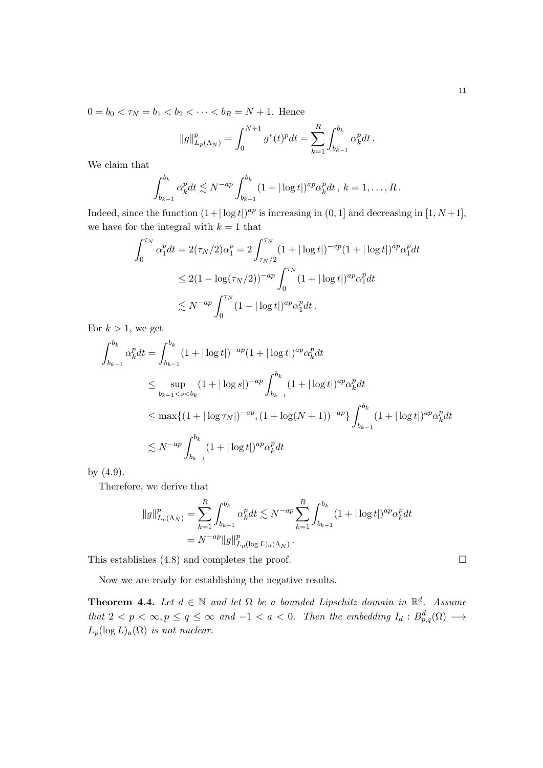$0 = b_0 < \tau_N = b_1 < b_2 < \cdots < b_R = N + 1$ . Hence

$$
||g||_{L_p(\Lambda_N)}^p = \int_0^{N+1} g^*(t)^p dt = \sum_{k=1}^R \int_{b_{k-1}}^{b_k} \alpha_k^p dt.
$$

We claim that

$$
\int_{b_{k-1}}^{b_k} \alpha_k^p dt \lesssim N^{-ap} \int_{b_{k-1}}^{b_k} (1+|\log t|)^{ap} \alpha_k^p dt, k = 1, \ldots, R.
$$

Indeed, since the function  $(1+|\log t|)^{ap}$  is increasing in  $(0, 1]$  and decreasing in  $[1, N+1]$ , we have for the integral with  $k = 1$  that

$$
\int_0^{\tau_N} \alpha_1^p dt = 2(\tau_N/2)\alpha_1^p = 2 \int_{\tau_N/2}^{\tau_N} (1 + |\log t|)^{-ap} (1 + |\log t|)^{ap} \alpha_1^p dt
$$
  

$$
\leq 2(1 - \log(\tau_N/2))^{-ap} \int_0^{\tau_N} (1 + |\log t|)^{ap} \alpha_1^p dt
$$
  

$$
\lesssim N^{-ap} \int_0^{\tau_N} (1 + |\log t|)^{ap} \alpha_1^p dt.
$$

For  $k > 1$ , we get

$$
\int_{b_{k-1}}^{b_k} \alpha_k^p dt = \int_{b_{k-1}}^{b_k} (1 + |\log t|)^{-ap} (1 + |\log t|)^{ap} \alpha_k^p dt
$$
  
\n
$$
\leq \sup_{b_{k-1} < s < b_k} (1 + |\log s|)^{-ap} \int_{b_{k-1}}^{b_k} (1 + |\log t|)^{ap} \alpha_k^p dt
$$
  
\n
$$
\leq \max \{ (1 + |\log \tau_N|)^{-ap}, (1 + \log(N + 1))^{-ap} \} \int_{b_{k-1}}^{b_k} (1 + |\log t|)^{ap} \alpha_k^p dt
$$
  
\n
$$
\leq N^{-ap} \int_{b_{k-1}}^{b_k} (1 + |\log t|)^{ap} \alpha_k^p dt
$$

by (4.9).

Therefore, we derive that

$$
||g||_{L_p(\Lambda_N)}^p = \sum_{k=1}^R \int_{b_{k-1}}^{b_k} \alpha_k^p dt \lesssim N^{-ap} \sum_{k=1}^R \int_{b_{k-1}}^{b_k} (1 + |\log t|)^{ap} \alpha_k^p dt
$$
  
=  $N^{-ap} ||g||_{L_p(\log L)_a(\Lambda_N)}^p$ .

This establishes (4.8) and completes the proof.

Now we are ready for establishing the negative results.

**Theorem 4.4.** Let  $d \in \mathbb{N}$  and let  $\Omega$  be a bounded Lipschitz domain in  $\mathbb{R}^d$ . Assume that  $2 < p < \infty, p \le q \le \infty$  and  $-1 < a < 0$ . Then the embedding  $I_d : B^d_{p,q}(\Omega) \longrightarrow$  $L_p(\log L)_a(\Omega)$  is not nuclear.

$$
\qquad \qquad \Box
$$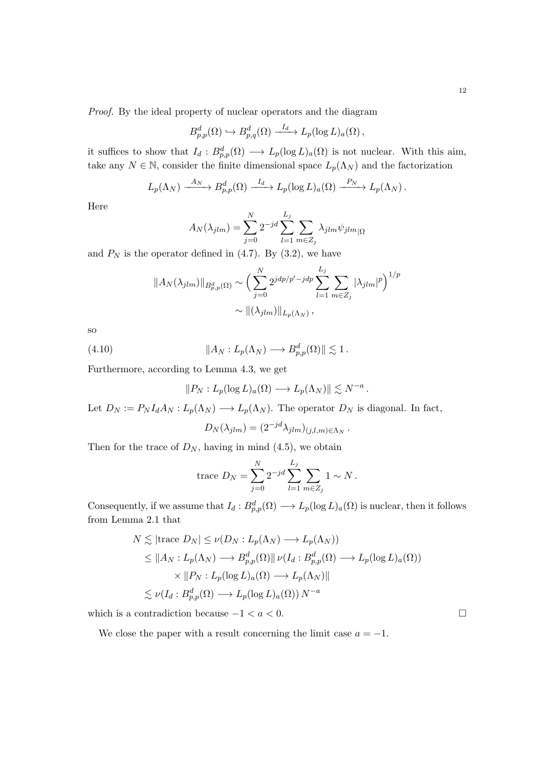Proof. By the ideal property of nuclear operators and the diagram

$$
B_{p,p}^d(\Omega) \hookrightarrow B_{p,q}^d(\Omega) \xrightarrow{I_d} L_p(\log L)_a(\Omega),
$$

it suffices to show that  $I_d : B^d_{p,p}(\Omega) \longrightarrow L_p(\log L)_a(\Omega)$  is not nuclear. With this aim, take any  $N \in \mathbb{N}$ , consider the finite dimensional space  $L_p(\Lambda_N)$  and the factorization

$$
L_p(\Lambda_N) \xrightarrow{A_N} B_{p,p}^d(\Omega) \xrightarrow{I_d} L_p(\log L)_a(\Omega) \xrightarrow{P_N} L_p(\Lambda_N).
$$

Here

$$
A_N(\lambda_{jlm}) = \sum_{j=0}^N 2^{-jd} \sum_{l=1}^{L_j} \sum_{m \in Z_j} \lambda_{jlm} \psi_{jlm} \Big|_{\Omega}
$$

and  $P_N$  is the operator defined in (4.7). By (3.2), we have

$$
||A_N(\lambda_{jlm})||_{B_{p,p}^d(\Omega)} \sim \left(\sum_{j=0}^N 2^{jdp/p'-jdp} \sum_{l=1}^{L_j} \sum_{m \in Z_j} |\lambda_{jlm}|^p\right)^{1/p}
$$

$$
\sim ||(\lambda_{jlm})||_{L_p(\Lambda_N)},
$$

so

(4.10) 
$$
\|A_N: L_p(\Lambda_N) \longrightarrow B_{p,p}^d(\Omega)\| \lesssim 1.
$$

Furthermore, according to Lemma 4.3, we get

$$
||P_N: L_p(\log L)_a(\Omega) \longrightarrow L_p(\Lambda_N)|| \lesssim N^{-a}.
$$

Let  $D_N := P_N I_d A_N : L_p(\Lambda_N) \longrightarrow L_p(\Lambda_N)$ . The operator  $D_N$  is diagonal. In fact,

$$
D_N(\lambda_{jlm}) = (2^{-jd}\lambda_{jlm})_{(j,l,m)\in\Lambda_N}.
$$

Then for the trace of  $D_N$ , having in mind (4.5), we obtain

trace 
$$
D_N = \sum_{j=0}^N 2^{-jd} \sum_{l=1}^{L_j} \sum_{m \in Z_j} 1 \sim N
$$
.

Consequently, if we assume that  $I_d : B^d_{p,p}(\Omega) \longrightarrow L_p(\log L)_a(\Omega)$  is nuclear, then it follows from Lemma 2.1 that

$$
N \lesssim |\text{trace } D_N| \leq \nu(D_N : L_p(\Lambda_N) \longrightarrow L_p(\Lambda_N))
$$
  
\n
$$
\leq ||A_N : L_p(\Lambda_N) \longrightarrow B_{p,p}^d(\Omega)|| \nu(I_d : B_{p,p}^d(\Omega) \longrightarrow L_p(\log L)_a(\Omega))
$$
  
\n
$$
\times ||P_N : L_p(\log L)_a(\Omega) \longrightarrow L_p(\Lambda_N)||
$$
  
\n
$$
\lesssim \nu(I_d : B_{p,p}^d(\Omega) \longrightarrow L_p(\log L)_a(\Omega)) N^{-a}
$$

which is a contradiction because  $-1 < a < 0$ .

We close the paper with a result concerning the limit case  $a = -1$ .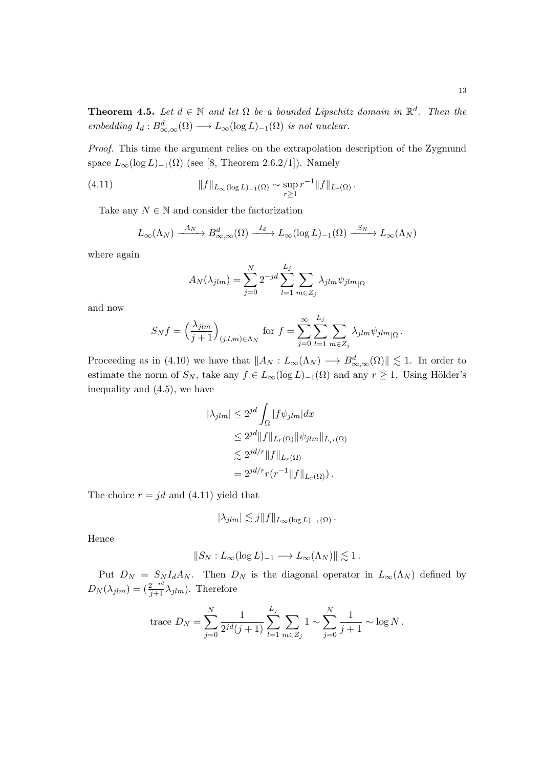Proof. This time the argument relies on the extrapolation description of the Zygmund space  $L_{\infty}(\log L)_{-1}(\Omega)$  (see [8, Theorem 2.6.2/1]). Namely

(4.11) 
$$
||f||_{L_{\infty}(\log L)_{-1}(\Omega)} \sim \sup_{r \geq 1} r^{-1}||f||_{L_{r}(\Omega)}.
$$

Take any  $N \in \mathbb{N}$  and consider the factorization

$$
L_{\infty}(\Lambda_N) \xrightarrow{A_N} B^d_{\infty,\infty}(\Omega) \xrightarrow{I_d} L_{\infty}(\log L)_{-1}(\Omega) \xrightarrow{S_N} L_{\infty}(\Lambda_N)
$$

where again

$$
A_N(\lambda_{jlm}) = \sum_{j=0}^N 2^{-jd} \sum_{l=1}^{L_j} \sum_{m \in Z_j} \lambda_{jlm} \psi_{jlm} \Big|_{\Omega}
$$

and now

$$
S_N f = \left(\frac{\lambda_{jlm}}{j+1}\right)_{(j,l,m)\in\Lambda_N} \text{ for } f = \sum_{j=0}^{\infty} \sum_{l=1}^{L_j} \sum_{m \in Z_j} \lambda_{jlm} \psi_{jlm} \Big|_{\Omega}.
$$

Proceeding as in (4.10) we have that  $||A_N : L_\infty(\Lambda_N) \longrightarrow B_{\infty,\infty}^d(\Omega)|| \lesssim 1$ . In order to estimate the norm of  $S_N$ , take any  $f \in L_\infty(\log L)_{-1}(\Omega)$  and any  $r \geq 1$ . Using Hölder's inequality and (4.5), we have

$$
|\lambda_{jlm}| \le 2^{jd} \int_{\Omega} |f \psi_{jlm}| dx
$$
  
\n
$$
\le 2^{jd} ||f||_{L_r(\Omega)} ||\psi_{jlm}||_{L_{r'}(\Omega)}
$$
  
\n
$$
\lesssim 2^{jd/r} ||f||_{L_r(\Omega)}
$$
  
\n
$$
= 2^{jd/r} r(r^{-1} ||f||_{L_r(\Omega)}).
$$

The choice  $r = jd$  and (4.11) yield that

$$
|\lambda_{jlm}| \lesssim j||f||_{L_{\infty}(\log L)_{-1}(\Omega)}.
$$

Hence

$$
||S_N: L_{\infty}(\log L)_{-1} \longrightarrow L_{\infty}(\Lambda_N)|| \lesssim 1.
$$

Put  $D_N = S_N I_d A_N$ . Then  $D_N$  is the diagonal operator in  $L_{\infty}(\Lambda_N)$  defined by  $D_N(\lambda_{jlm}) = \left(\frac{2^{-jd}}{j+1}\lambda_{jlm}\right)$ . Therefore

trace 
$$
D_N = \sum_{j=0}^N \frac{1}{2^{jd}(j+1)} \sum_{l=1}^{L_j} \sum_{m \in Z_j} 1 \sim \sum_{j=0}^N \frac{1}{j+1} \sim \log N
$$
.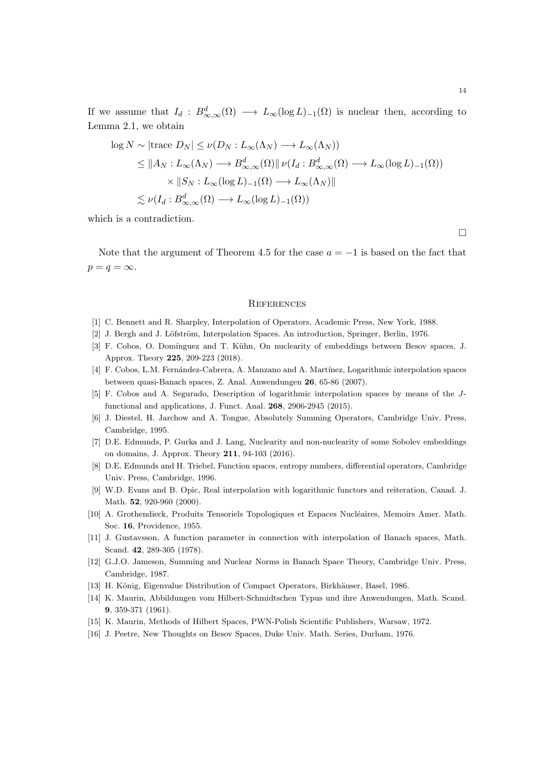If we assume that  $I_d : B^d_{\infty,\infty}(\Omega) \longrightarrow L_\infty(\log L)_{-1}(\Omega)$  is nuclear then, according to Lemma 2.1, we obtain

$$
\log N \sim |\text{trace } D_N| \leq \nu(D_N : L_\infty(\Lambda_N) \longrightarrow L_\infty(\Lambda_N))
$$
  
\n
$$
\leq ||A_N : L_\infty(\Lambda_N) \longrightarrow B^d_{\infty,\infty}(\Omega) || \nu(I_d : B^d_{\infty,\infty}(\Omega) \longrightarrow L_\infty(\log L)_{-1}(\Omega))
$$
  
\n
$$
\times ||S_N : L_\infty(\log L)_{-1}(\Omega) \longrightarrow L_\infty(\Lambda_N) ||
$$
  
\n
$$
\lesssim \nu(I_d : B^d_{\infty,\infty}(\Omega) \longrightarrow L_\infty(\log L)_{-1}(\Omega))
$$

which is a contradiction.

 $\Box$ 

Note that the argument of Theorem 4.5 for the case  $a = -1$  is based on the fact that  $p = q = \infty$ .

### **REFERENCES**

- [1] C. Bennett and R. Sharpley, Interpolation of Operators, Academic Press, New York, 1988.
- [2] J. Bergh and J. Löfström, Interpolation Spaces. An introduction, Springer, Berlin, 1976.
- [3] F. Cobos, O. Domínguez and T. Kühn, On nuclearity of embeddings between Besov spaces, J. Approx. Theory 225, 209-223 (2018).
- [4] F. Cobos, L.M. Fernández-Cabrera, A. Manzano and A. Martínez, Logarithmic interpolation spaces between quasi-Banach spaces, Z. Anal. Anwendungen 26, 65-86 (2007).
- [5] F. Cobos and A. Segurado, Description of logarithmic interpolation spaces by means of the Jfunctional and applications, J. Funct. Anal. 268, 2906-2945 (2015).
- [6] J. Diestel, H. Jarchow and A. Tongue, Absolutely Summing Operators, Cambridge Univ. Press, Cambridge, 1995.
- [7] D.E. Edmunds, P. Gurka and J. Lang, Nuclearity and non-nuclearity of some Sobolev embeddings on domains, J. Approx. Theory 211, 94-103 (2016).
- [8] D.E. Edmunds and H. Triebel, Function spaces, entropy numbers, differential operators, Cambridge Univ. Press, Cambridge, 1996.
- [9] W.D. Evans and B. Opic, Real interpolation with logarithmic functors and reiteration, Canad. J. Math. **52**, 920-960 (2000).
- [10] A. Grothendieck, Produits Tensoriels Topologiques et Espaces Nucléaires, Memoirs Amer. Math. Soc. 16, Providence, 1955.
- [11] J. Gustavsson, A function parameter in connection with interpolation of Banach spaces, Math. Scand. 42, 289-305 (1978).
- [12] G.J.O. Jameson, Summing and Nuclear Norms in Banach Space Theory, Cambridge Univ. Press, Cambridge, 1987.
- [13] H. König, Eigenvalue Distribution of Compact Operators, Birkhäuser, Basel, 1986.
- [14] K. Maurin, Abbildungen vom Hilbert-Schmidtschen Typus und ihre Anwendungen, Math. Scand. 9, 359-371 (1961).
- [15] K. Maurin, Methods of Hilbert Spaces, PWN-Polish Scientific Publishers, Warsaw, 1972.
- [16] J. Peetre, New Thoughts on Besov Spaces, Duke Univ. Math. Series, Durham, 1976.